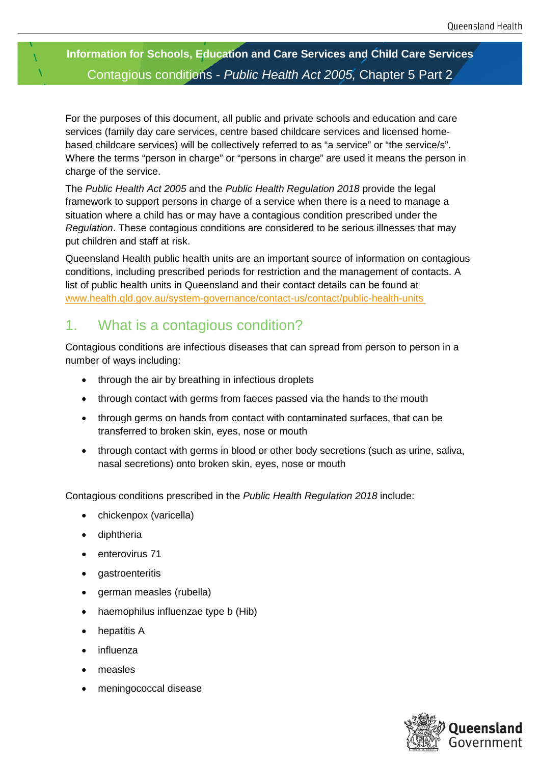### **Information for Schools, Education and Care Services and Child Care Services** Contagious conditions - *Public Health Act 2005,* Chapter 5 Part 2

For the purposes of this document, all public and private schools and education and care services (family day care services, centre based childcare services and licensed homebased childcare services) will be collectively referred to as "a service" or "the service/s". Where the terms "person in charge" or "persons in charge" are used it means the person in charge of the service.

The *Public Health Act 2005* and the *Public Health Regulation 2018* provide the legal framework to support persons in charge of a service when there is a need to manage a situation where a child has or may have a contagious condition prescribed under the *Regulation*. These contagious conditions are considered to be serious illnesses that may put children and staff at risk.

Queensland Health public health units are an important source of information on contagious conditions, including prescribed periods for restriction and the management of contacts. A list of public health units in Queensland and their contact details can be found at [www.health.qld.gov.au/system-governance/contact-us/contact/public-health-units](http://www.health.qld.gov.au/system-governance/contact-us/contact/public-health-units) 

### 1. What is a contagious condition?

Contagious conditions are infectious diseases that can spread from person to person in a number of ways including:

- through the air by breathing in infectious droplets
- through contact with germs from faeces passed via the hands to the mouth
- through germs on hands from contact with contaminated surfaces, that can be transferred to broken skin, eyes, nose or mouth
- through contact with germs in blood or other body secretions (such as urine, saliva, nasal secretions) onto broken skin, eyes, nose or mouth

Contagious conditions prescribed in the *Public Health Regulation 2018* include:

- chickenpox (varicella)
- diphtheria
- enterovirus 71
- gastroenteritis
- german measles (rubella)
- haemophilus influenzae type b (Hib)
- hepatitis A
- influenza
- measles
- meningococcal disease

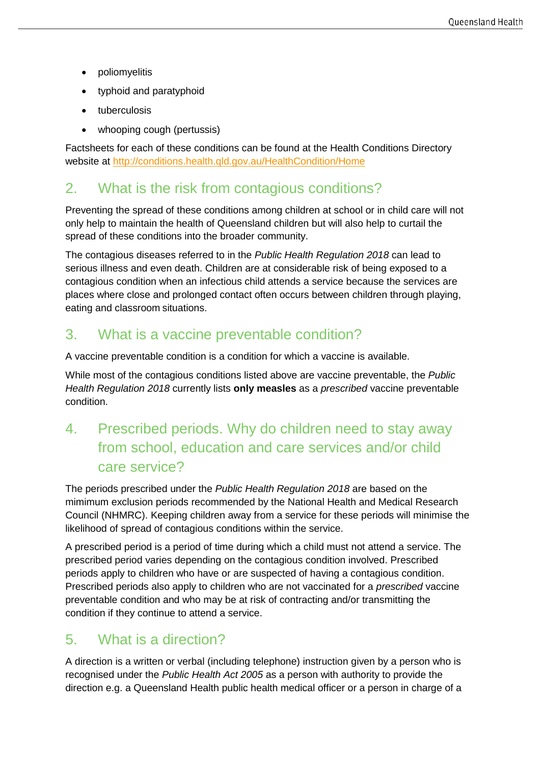- poliomyelitis
- typhoid and paratyphoid
- tuberculosis
- whooping cough (pertussis)

Factsheets for each of these conditions can be found at the Health Conditions Directory website at<http://conditions.health.qld.gov.au/HealthCondition/Home>

#### 2. What is the risk from contagious conditions?

Preventing the spread of these conditions among children at school or in child care will not only help to maintain the health of Queensland children but will also help to curtail the spread of these conditions into the broader community.

The contagious diseases referred to in the *Public Health Regulation 2018* can lead to serious illness and even death. Children are at considerable risk of being exposed to a contagious condition when an infectious child attends a service because the services are places where close and prolonged contact often occurs between children through playing, eating and classroom situations.

#### 3. What is a vaccine preventable condition?

A vaccine preventable condition is a condition for which a vaccine is available.

While most of the contagious conditions listed above are vaccine preventable, the *Public Health Regulation 2018* currently lists **only measles** as a *prescribed* vaccine preventable condition.

# 4. Prescribed periods. Why do children need to stay away from school, education and care services and/or child care service?

The periods prescribed under the *Public Health Regulation 2018* are based on the mimimum exclusion periods recommended by the National Health and Medical Research Council (NHMRC). Keeping children away from a service for these periods will minimise the likelihood of spread of contagious conditions within the service.

A prescribed period is a period of time during which a child must not attend a service. The prescribed period varies depending on the contagious condition involved. Prescribed periods apply to children who have or are suspected of having a contagious condition. Prescribed periods also apply to children who are not vaccinated for a *prescribed* vaccine preventable condition and who may be at risk of contracting and/or transmitting the condition if they continue to attend a service.

#### 5. What is a direction?

A direction is a written or verbal (including telephone) instruction given by a person who is recognised under the *Public Health Act 2005* as a person with authority to provide the direction e.g. a Queensland Health public health medical officer or a person in charge of a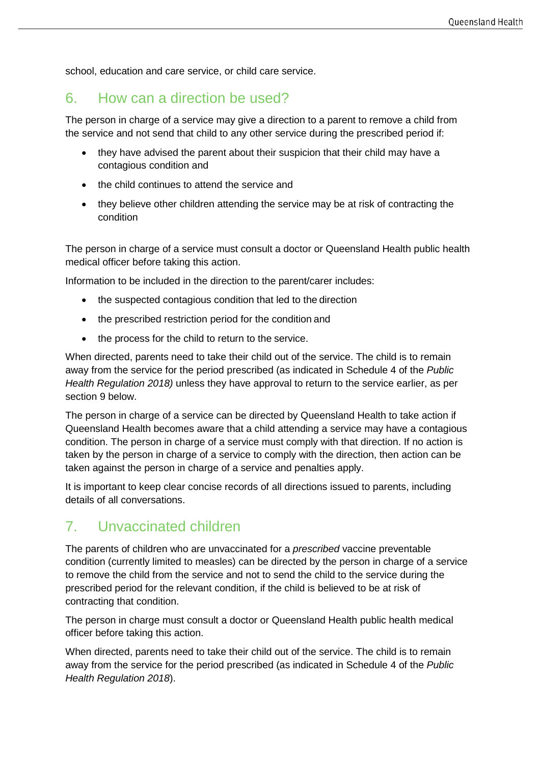school, education and care service, or child care service.

#### 6. How can a direction be used?

The person in charge of a service may give a direction to a parent to remove a child from the service and not send that child to any other service during the prescribed period if:

- they have advised the parent about their suspicion that their child may have a contagious condition and
- the child continues to attend the service and
- they believe other children attending the service may be at risk of contracting the condition

The person in charge of a service must consult a doctor or Queensland Health public health medical officer before taking this action.

Information to be included in the direction to the parent/carer includes:

- the suspected contagious condition that led to the direction
- the prescribed restriction period for the condition and
- the process for the child to return to the service.

When directed, parents need to take their child out of the service. The child is to remain away from the service for the period prescribed (as indicated in Schedule 4 of the *Public Health Regulation 2018)* unless they have approval to return to the service earlier, as per section 9 below.

The person in charge of a service can be directed by Queensland Health to take action if Queensland Health becomes aware that a child attending a service may have a contagious condition. The person in charge of a service must comply with that direction. If no action is taken by the person in charge of a service to comply with the direction, then action can be taken against the person in charge of a service and penalties apply.

It is important to keep clear concise records of all directions issued to parents, including details of all conversations.

#### 7. Unvaccinated children

The parents of children who are unvaccinated for a *prescribed* vaccine preventable condition (currently limited to measles) can be directed by the person in charge of a service to remove the child from the service and not to send the child to the service during the prescribed period for the relevant condition, if the child is believed to be at risk of contracting that condition.

The person in charge must consult a doctor or Queensland Health public health medical officer before taking this action.

When directed, parents need to take their child out of the service. The child is to remain away from the service for the period prescribed (as indicated in Schedule 4 of the *Public Health Regulation 2018*).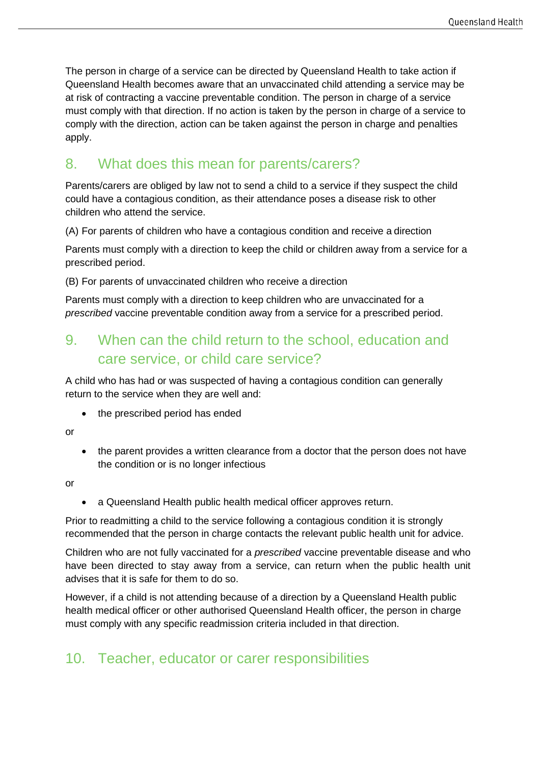The person in charge of a service can be directed by Queensland Health to take action if Queensland Health becomes aware that an unvaccinated child attending a service may be at risk of contracting a vaccine preventable condition. The person in charge of a service must comply with that direction. If no action is taken by the person in charge of a service to comply with the direction, action can be taken against the person in charge and penalties apply.

### 8. What does this mean for parents/carers?

Parents/carers are obliged by law not to send a child to a service if they suspect the child could have a contagious condition, as their attendance poses a disease risk to other children who attend the service.

(A) For parents of children who have a contagious condition and receive a direction

Parents must comply with a direction to keep the child or children away from a service for a prescribed period.

(B) For parents of unvaccinated children who receive a direction

Parents must comply with a direction to keep children who are unvaccinated for a *prescribed* vaccine preventable condition away from a service for a prescribed period.

## 9. When can the child return to the school, education and care service, or child care service?

A child who has had or was suspected of having a contagious condition can generally return to the service when they are well and:

- the prescribed period has ended
- or
- the parent provides a written clearance from a doctor that the person does not have the condition or is no longer infectious

or

• a Queensland Health public health medical officer approves return.

Prior to readmitting a child to the service following a contagious condition it is strongly recommended that the person in charge contacts the relevant public health unit for advice.

Children who are not fully vaccinated for a *prescribed* vaccine preventable disease and who have been directed to stay away from a service, can return when the public health unit advises that it is safe for them to do so.

However, if a child is not attending because of a direction by a Queensland Health public health medical officer or other authorised Queensland Health officer, the person in charge must comply with any specific readmission criteria included in that direction.

### 10. Teacher, educator or carer responsibilities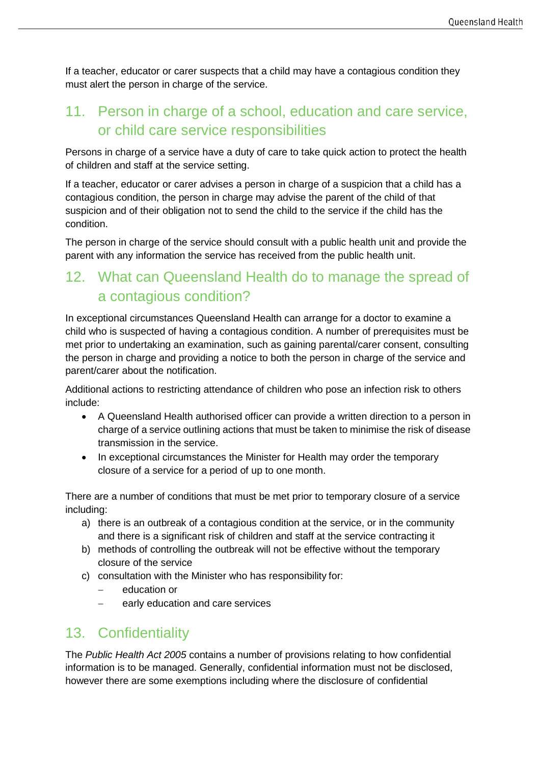If a teacher, educator or carer suspects that a child may have a contagious condition they must alert the person in charge of the service.

### 11. Person in charge of a school, education and care service, or child care service responsibilities

Persons in charge of a service have a duty of care to take quick action to protect the health of children and staff at the service setting.

If a teacher, educator or carer advises a person in charge of a suspicion that a child has a contagious condition, the person in charge may advise the parent of the child of that suspicion and of their obligation not to send the child to the service if the child has the condition.

The person in charge of the service should consult with a public health unit and provide the parent with any information the service has received from the public health unit.

### 12. What can Queensland Health do to manage the spread of a contagious condition?

In exceptional circumstances Queensland Health can arrange for a doctor to examine a child who is suspected of having a contagious condition. A number of prerequisites must be met prior to undertaking an examination, such as gaining parental/carer consent, consulting the person in charge and providing a notice to both the person in charge of the service and parent/carer about the notification.

Additional actions to restricting attendance of children who pose an infection risk to others include:

- A Queensland Health authorised officer can provide a written direction to a person in charge of a service outlining actions that must be taken to minimise the risk of disease transmission in the service.
- In exceptional circumstances the Minister for Health may order the temporary closure of a service for a period of up to one month.

There are a number of conditions that must be met prior to temporary closure of a service including:

- a) there is an outbreak of a contagious condition at the service, or in the community and there is a significant risk of children and staff at the service contracting it
- b) methods of controlling the outbreak will not be effective without the temporary closure of the service
- c) consultation with the Minister who has responsibility for:
	- education or
	- − early education and care services

### 13. Confidentiality

The *Public Health Act 2005* contains a number of provisions relating to how confidential information is to be managed. Generally, confidential information must not be disclosed, however there are some exemptions including where the disclosure of confidential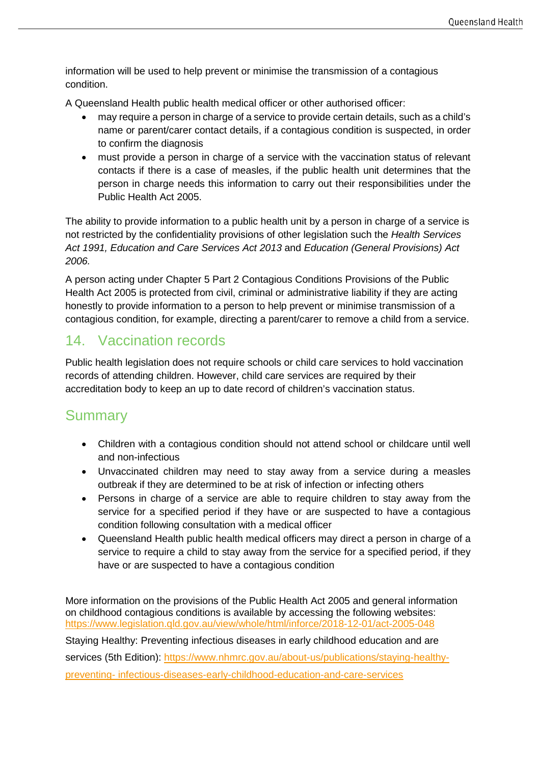information will be used to help prevent or minimise the transmission of a contagious condition.

A Queensland Health public health medical officer or other authorised officer:

- may require a person in charge of a service to provide certain details, such as a child's name or parent/carer contact details, if a contagious condition is suspected, in order to confirm the diagnosis
- must provide a person in charge of a service with the vaccination status of relevant contacts if there is a case of measles, if the public health unit determines that the person in charge needs this information to carry out their responsibilities under the Public Health Act 2005.

The ability to provide information to a public health unit by a person in charge of a service is not restricted by the confidentiality provisions of other legislation such the *Health Services Act 1991, Education and Care Services Act 2013* and *Education (General Provisions) Act 2006.*

A person acting under Chapter 5 Part 2 Contagious Conditions Provisions of the Public Health Act 2005 is protected from civil, criminal or administrative liability if they are acting honestly to provide information to a person to help prevent or minimise transmission of a contagious condition, for example, directing a parent/carer to remove a child from a service.

#### 14. Vaccination records

Public health legislation does not require schools or child care services to hold vaccination records of attending children. However, child care services are required by their accreditation body to keep an up to date record of children's vaccination status.

#### **Summary**

- Children with a contagious condition should not attend school or childcare until well and non-infectious
- Unvaccinated children may need to stay away from a service during a measles outbreak if they are determined to be at risk of infection or infecting others
- Persons in charge of a service are able to require children to stay away from the service for a specified period if they have or are suspected to have a contagious condition following consultation with a medical officer
- Queensland Health public health medical officers may direct a person in charge of a service to require a child to stay away from the service for a specified period, if they have or are suspected to have a contagious condition

More information on the provisions of the Public Health Act 2005 and general information on childhood contagious conditions is available by accessing the following websites: [https://www.legislation.qld.gov.au/view/whole/html/inforce/2018-12-01](http://www.health.qld.gov.au/publichealthact/contagious/default.asp)/act-2005-048 Staying Healthy: Preventing infectio[us diseases in early childhood education and are](http://www.nhmrc.gov.au/guidelines/publications/ch43)  [services](http://www.nhmrc.gov.au/guidelines/publications/ch43) (5th Edition): [https://www.nhmrc.gov.au/about-us](http://www.immunise.health.gov.au/)/publications/staying-healthypreventing- infectious-diseases-early-childhood-education-and-care-services